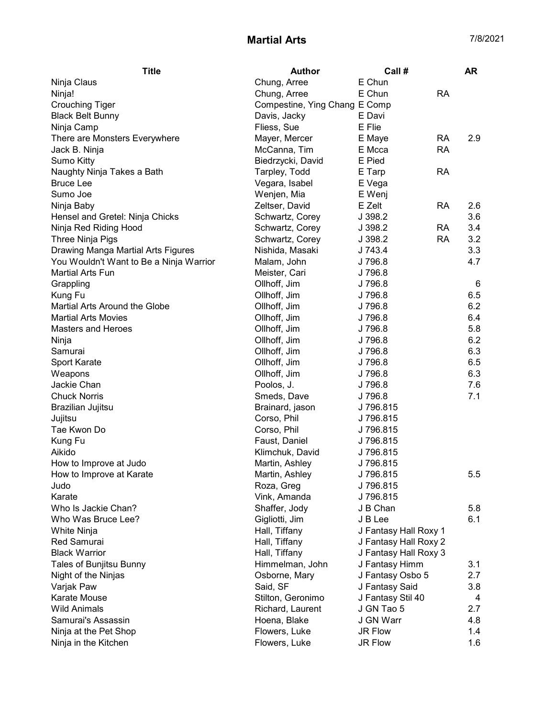## Martial Arts 7/8/2021

| <b>Title</b>                            | Author                        | Call #                | <b>AR</b> |
|-----------------------------------------|-------------------------------|-----------------------|-----------|
| Ninja Claus                             | Chung, Arree                  | E Chun                |           |
| Ninja!                                  | Chung, Arree                  | E Chun<br><b>RA</b>   |           |
| <b>Crouching Tiger</b>                  | Compestine, Ying Chang E Comp |                       |           |
| <b>Black Belt Bunny</b>                 | Davis, Jacky                  | E Davi                |           |
| Ninja Camp                              | Fliess, Sue                   | E Flie                |           |
| There are Monsters Everywhere           | Mayer, Mercer                 | E Maye<br>RA          | 2.9       |
| Jack B. Ninja                           | McCanna, Tim                  | <b>RA</b><br>E Mcca   |           |
| <b>Sumo Kitty</b>                       | Biedrzycki, David             | E Pied                |           |
| Naughty Ninja Takes a Bath              | Tarpley, Todd                 | <b>RA</b><br>E Tarp   |           |
| <b>Bruce Lee</b>                        | Vegara, Isabel                | E Vega                |           |
| Sumo Joe                                | Wenjen, Mia                   | E Wenj                |           |
| Ninja Baby                              | Zeltser, David                | E Zelt<br><b>RA</b>   | 2.6       |
| Hensel and Gretel: Ninja Chicks         | Schwartz, Corey               | J 398.2               | 3.6       |
| Ninja Red Riding Hood                   | Schwartz, Corey               | J 398.2<br><b>RA</b>  | 3.4       |
| Three Ninja Pigs                        | Schwartz, Corey               | <b>RA</b><br>J 398.2  | 3.2       |
| Drawing Manga Martial Arts Figures      | Nishida, Masaki               | J 743.4               | 3.3       |
| You Wouldn't Want to Be a Ninja Warrior | Malam, John                   | J 796.8               | 4.7       |
| <b>Martial Arts Fun</b>                 | Meister, Cari                 | J 796.8               |           |
| Grappling                               | Ollhoff, Jim                  | J 796.8               | 6         |
| Kung Fu                                 | Ollhoff, Jim                  | J 796.8               | 6.5       |
| Martial Arts Around the Globe           | Ollhoff, Jim                  | J 796.8               | 6.2       |
| <b>Martial Arts Movies</b>              | Ollhoff, Jim                  | J 796.8               | 6.4       |
| <b>Masters and Heroes</b>               | Ollhoff, Jim                  | J 796.8               | 5.8       |
| Ninja                                   | Ollhoff, Jim                  | J 796.8               | 6.2       |
| Samurai                                 | Ollhoff, Jim                  | J 796.8               | 6.3       |
| Sport Karate                            | Ollhoff, Jim                  | J 796.8               | 6.5       |
| Weapons                                 | Ollhoff, Jim                  | J 796.8               | 6.3       |
| Jackie Chan                             | Poolos, J.                    | J 796.8               | 7.6       |
| <b>Chuck Norris</b>                     | Smeds, Dave                   | J 796.8               | 7.1       |
| Brazilian Jujitsu                       | Brainard, jason               | J 796.815             |           |
| Jujitsu                                 | Corso, Phil                   | J 796.815             |           |
| Tae Kwon Do                             | Corso, Phil                   | J 796.815             |           |
| Kung Fu                                 | Faust, Daniel                 | J 796.815             |           |
| Aikido                                  | Klimchuk, David               | J 796.815             |           |
| How to Improve at Judo                  | Martin, Ashley                | J796.815              |           |
| How to Improve at Karate                | Martin, Ashley                | J 796.815             | 5.5       |
| Judo                                    | Roza, Greg                    | J 796.815             |           |
| Karate                                  | Vink, Amanda                  | J 796.815             |           |
| Who Is Jackie Chan?                     | Shaffer, Jody                 | J B Chan              | 5.8       |
| Who Was Bruce Lee?                      | Gigliotti, Jim                | J B Lee               | 6.1       |
| White Ninja                             | Hall, Tiffany                 | J Fantasy Hall Roxy 1 |           |
| Red Samurai                             | Hall, Tiffany                 | J Fantasy Hall Roxy 2 |           |
| <b>Black Warrior</b>                    | Hall, Tiffany                 | J Fantasy Hall Roxy 3 |           |
| Tales of Bunjitsu Bunny                 | Himmelman, John               | J Fantasy Himm        | 3.1       |
| Night of the Ninjas                     | Osborne, Mary                 | J Fantasy Osbo 5      | 2.7       |
| Varjak Paw                              | Said, SF                      | J Fantasy Said        | 3.8       |
| Karate Mouse                            | Stilton, Geronimo             | J Fantasy Stil 40     | 4         |
| <b>Wild Animals</b>                     | Richard, Laurent              | J GN Tao 5            | 2.7       |
| Samurai's Assassin                      | Hoena, Blake                  | J GN Warr             | 4.8       |
| Ninja at the Pet Shop                   | Flowers, Luke                 | JR Flow               | 1.4       |
| Ninja in the Kitchen                    | Flowers, Luke                 | JR Flow               | 1.6       |